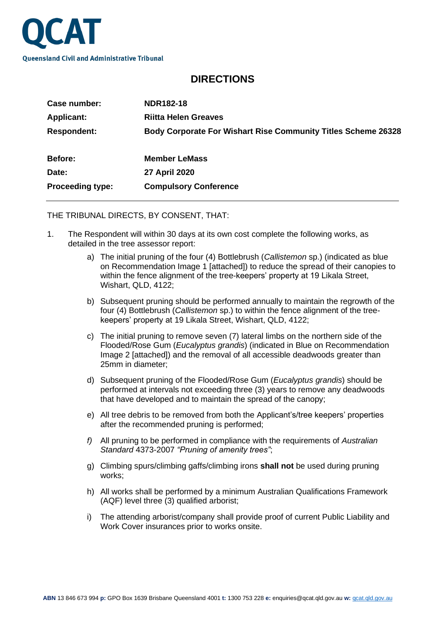

## **DIRECTIONS**

| Case number:            | <b>NDR182-18</b>                                                     |
|-------------------------|----------------------------------------------------------------------|
| <b>Applicant:</b>       | <b>Riitta Helen Greaves</b>                                          |
| <b>Respondent:</b>      | <b>Body Corporate For Wishart Rise Community Titles Scheme 26328</b> |
| <b>Before:</b>          | <b>Member LeMass</b>                                                 |
| Date:                   | 27 April 2020                                                        |
| <b>Proceeding type:</b> | <b>Compulsory Conference</b>                                         |

THE TRIBUNAL DIRECTS, BY CONSENT, THAT:

- 1. The Respondent will within 30 days at its own cost complete the following works, as detailed in the tree assessor report:
	- a) The initial pruning of the four (4) Bottlebrush (*Callistemon* sp.) (indicated as blue on Recommendation Image 1 [attached]) to reduce the spread of their canopies to within the fence alignment of the tree-keepers' property at 19 Likala Street, Wishart, QLD, 4122;
	- b) Subsequent pruning should be performed annually to maintain the regrowth of the four (4) Bottlebrush (*Callistemon* sp.) to within the fence alignment of the treekeepers' property at 19 Likala Street, Wishart, QLD, 4122;
	- c) The initial pruning to remove seven (7) lateral limbs on the northern side of the Flooded/Rose Gum (*Eucalyptus grandis*) (indicated in Blue on Recommendation Image 2 [attached]) and the removal of all accessible deadwoods greater than 25mm in diameter;
	- d) Subsequent pruning of the Flooded/Rose Gum (*Eucalyptus grandis*) should be performed at intervals not exceeding three (3) years to remove any deadwoods that have developed and to maintain the spread of the canopy;
	- e) All tree debris to be removed from both the Applicant's/tree keepers' properties after the recommended pruning is performed;
	- *f)* All pruning to be performed in compliance with the requirements of *Australian Standard* 4373-2007 *"Pruning of amenity trees"*;
	- g) Climbing spurs/climbing gaffs/climbing irons **shall not** be used during pruning works;
	- h) All works shall be performed by a minimum Australian Qualifications Framework (AQF) level three (3) qualified arborist;
	- i) The attending arborist/company shall provide proof of current Public Liability and Work Cover insurances prior to works onsite.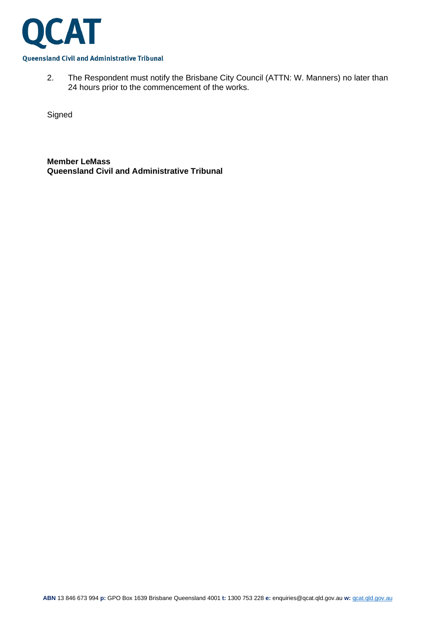

2. The Respondent must notify the Brisbane City Council (ATTN: W. Manners) no later than 24 hours prior to the commencement of the works.

**Signed** 

**Member LeMass Queensland Civil and Administrative Tribunal**